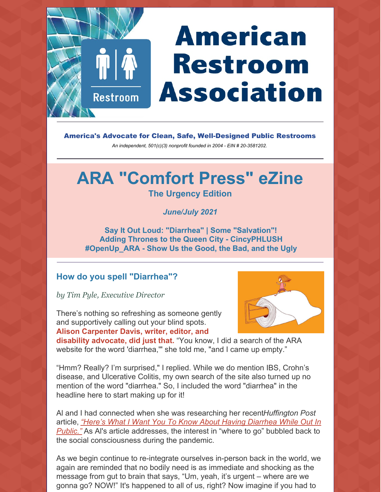# **American Restroom Association**

America's Advocate for Clean, Safe, Well-Designed Public Restrooms

*An independent, 501(c)(3) nonprofit founded in 2004 - EIN # 20-3581202.*

## **ARA "Comfort Press" eZine**

#### **The Urgency Edition**

*June/July 2021*

**Say It Out Loud: "Diarrhea" | Some "Salvation"! Adding Thrones to the Queen City - CincyPHLUSH #OpenUp\_ARA - Show Us the Good, the Bad, and the Ugly**

#### **How do you spell "Diarrhea"?**

**Restroom** 

*by Tim Pyle, Executive Director*

There's nothing so refreshing as someone gently and supportively calling out your blind spots. **Alison Carpenter Davis, writer, editor, and**



**disability advocate, did just that.** "You know, I did a search of the ARA website for the word 'diarrhea," she told me, "and I came up empty."

"Hmm? Really? I'm surprised," I replied. While we do mention IBS, Crohn's disease, and Ulcerative Colitis, my own search of the site also turned up no mention of the word "diarrhea." So, I included the word "diarrhea" in the headline here to start making up for it!

Al and I had connected when she was researching her recent*Huffington Post* article, *"Here's What I Want You To Know About Having Diarrhea While Out In Public."* As Al's article [addresses,](https://www.huffpost.com/entry/diarrhea-public-bathroom-access-crohns-disease_n_60a7f632e4b019ef10da0680) the interest in "where to go" bubbled back to the social consciousness during the pandemic.

As we begin continue to re-integrate ourselves in-person back in the world, we again are reminded that no bodily need is as immediate and shocking as the message from gut to brain that says, "Um, yeah, it's urgent – where are we gonna go? NOW!" It's happened to all of us, right? Now imagine if you had to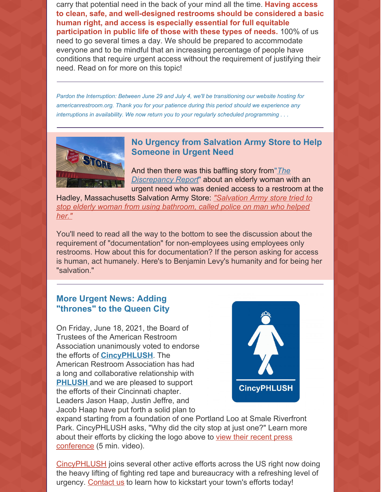carry that potential need in the back of your mind all the time. **Having access to clean, safe, and well-designed restrooms should be considered a basic human right, and access is especially essential for full equitable participation in public life of those with these types of needs.** 100% of us need to go several times a day. We should be prepared to accommodate everyone and to be mindful that an increasing percentage of people have conditions that require urgent access without the requirement of justifying their need. Read on for more on this topic!

*Pardon the Interruption: Between June 29 and July 4, we'll be transitioning our website hosting for americanrestroom.org. Thank you for your patience during this period should we experience any interruptions in availability. We now return you to your regularly scheduled programming . . .*



#### **No Urgency from Salvation Army Store to Help Someone in Urgent Need**

And then there was this baffling story from"*The [Discrepancy](https://discrepancyreport.com/) Report*" about an elderly woman with an urgent need who was denied access to a restroom at the

Hadley, [Massachusetts](https://discrepancyreport.com/salvation-army-store-tried-to-stop-elderly-woman-from-using-bathroom-called-police-on-man-who-helped-her/) Salvation Army Store: *"Salvation Army store tried to stop elderly woman from using bathroom, called police on man who helped her."*

You'll need to read all the way to the bottom to see the discussion about the requirement of "documentation" for non-employees using employees only restrooms. How about this for documentation? If the person asking for access is human, act humanely. Here's to Benjamin Levy's humanity and for being her "salvation."

#### **More Urgent News: Adding "thrones" to the Queen City**

On Friday, June 18, 2021, the Board of Trustees of the American Restroom Association unanimously voted to endorse the efforts of **[CincyPHLUSH](https://cincyphlush.webstarts.com/index.html)**. The American Restroom Association has had a long and collaborative relationship with **[PHLUSH](https://www.phlush.org/)** and we are pleased to support the efforts of their Cincinnati chapter. Leaders Jason Haap, Justin Jeffre, and Jacob Haap have put forth a solid plan to



expand starting from a foundation of one Portland Loo at Smale Riverfront Park. CincyPHLUSH asks, "Why did the city stop at just one?" Learn more about their efforts by clicking the logo above to view their recent press [conference](https://www.youtube.com/watch?v=xM1Y4Rgc5U8) (5 min. video).

[CincyPHLUSH](https://cincyphlush.webstarts.com/index.html) joins several other active efforts across the US right now doing the heavy lifting of fighting red tape and bureaucracy with a refreshing level of urgency. [Contact](https://americanrestroom.org/contact/) us to learn how to kickstart your town's efforts today!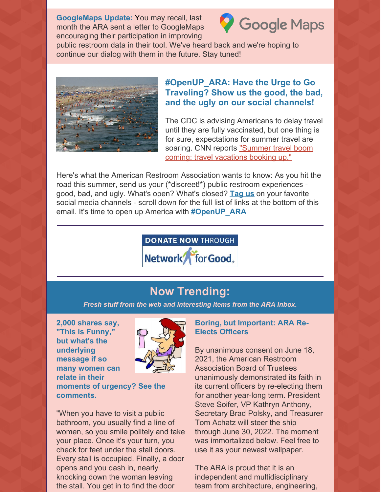**GoogleMaps Update:** You may recall, last month the ARA sent a letter to GoogleMaps encouraging their participation in improving



public restroom data in their tool. We've heard back and we're hoping to continue our dialog with them in the future. Stay tuned!



#### **#OpenUP\_ARA: Have the Urge to Go Traveling? Show us the good, the bad, and the ugly on our social channels!**

The CDC is advising Americans to delay travel until they are fully vaccinated, but one thing is for sure, expectations for summer travel are soaring. CNN reports ["Summer](https://www.cnn.com/travel/article/summer-travel-strategies-2021/index.html) travel boom coming: travel vacations booking up."

Here's what the American Restroom Association wants to know: As you hit the road this summer, send us your (\*discreet!\*) public restroom experiences good, bad, and ugly. What's open? What's closed? **[Tag](https://www.facebook.com/AmericanRestroom) us** on your favorite social media channels - scroll down for the full list of links at the bottom of this email. It's time to open up America with **#OpenUP\_ARA**



### **Now Trending:**

*Fresh stuff from the web and interesting items from the ARA Inbox.*

**2,000 shares say, "This is Funny," but what's the underlying message if so many women can relate in their comments.**



**moments of urgency? See the**

"When you have to visit a public bathroom, you usually find a line of women, so you smile politely and take your place. Once it's your turn, you check for feet under the stall doors. Every stall is occupied. Finally, a door opens and you dash in, nearly knocking down the woman leaving the stall. You get in to find the door

#### **Boring, but Important: ARA Re-Elects Officers**

By unanimous consent on June 18, 2021, the American Restroom Association Board of Trustees unanimously demonstrated its faith in its current officers by re-electing them for another year-long term. President Steve Soifer, VP Kathryn Anthony, Secretary Brad Polsky, and Treasurer Tom Achatz will steer the ship through June 30, 2022. The moment was immortalized below. Feel free to use it as your newest wallpaper.

The ARA is proud that it is an independent and multidisciplinary team from architecture, engineering,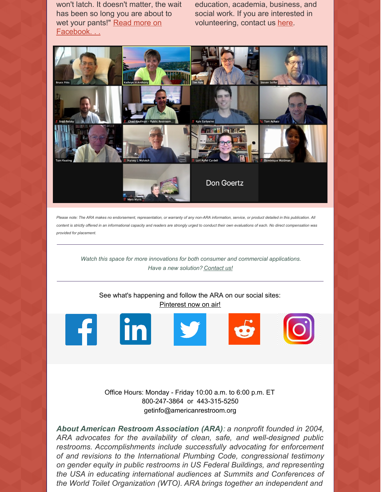won't latch. It doesn't matter, the wait has been so long you are about to wet your pants!" Read more on [Facebook.](https://www.facebook.com/photo.php?fbid=4061554517260699&set=a.106242789458578&type=3)..

education, academia, business, and social work. If you are interested in volunteering, contact us [here](https://americanrestroom.org/contact/).



Please note: The ARA makes no endorsement, representation, or warranty of any non-ARA information, service, or product detailed in this publication. All content is strictly offered in an informational capacity and readers are strongly urged to conduct their own evaluations of each. No direct compensation was *provided for placement.*

*Watch this space for more innovations for both consumer and commercial applications. Have a new solution? [Contact](https://americanrestroom.org/contact/) us!*

See what's happening and follow the ARA on our social sites: [Pinterest](https://www.pinterest.com/American_Restroom_Association/) now on air!



Office Hours: Monday - Friday 10:00 a.m. to 6:00 p.m. ET 800-247-3864 or 443-315-5250 getinfo@americanrestroom.org

*About American Restroom Association (ARA): a nonprofit founded in 2004, ARA advocates for the availability of clean, safe, and well-designed public restrooms. Accomplishments include successfully advocating for enforcement of and revisions to the International Plumbing Code, congressional testimony on gender equity in public restrooms in US Federal Buildings, and representing the USA in educating international audiences at Summits and Conferences of the World Toilet Organization (WTO). ARA brings together an independent and*